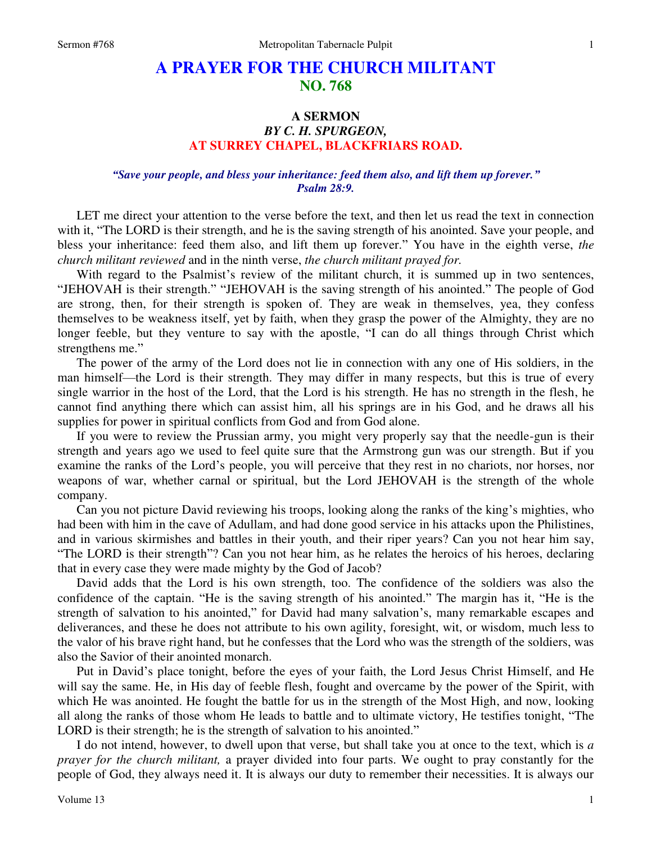# **A PRAYER FOR THE CHURCH MILITANT NO. 768**

# **A SERMON**  *BY C. H. SPURGEON,*  **AT SURREY CHAPEL, BLACKFRIARS ROAD.**

## *"Save your people, and bless your inheritance: feed them also, and lift them up forever." Psalm 28:9.*

LET me direct your attention to the verse before the text, and then let us read the text in connection with it, "The LORD is their strength, and he is the saving strength of his anointed. Save your people, and bless your inheritance: feed them also, and lift them up forever." You have in the eighth verse, *the church militant reviewed* and in the ninth verse, *the church militant prayed for.*

 With regard to the Psalmist's review of the militant church, it is summed up in two sentences, "JEHOVAH is their strength." "JEHOVAH is the saving strength of his anointed." The people of God are strong, then, for their strength is spoken of. They are weak in themselves, yea, they confess themselves to be weakness itself, yet by faith, when they grasp the power of the Almighty, they are no longer feeble, but they venture to say with the apostle, "I can do all things through Christ which strengthens me."

 The power of the army of the Lord does not lie in connection with any one of His soldiers, in the man himself—the Lord is their strength. They may differ in many respects, but this is true of every single warrior in the host of the Lord, that the Lord is his strength. He has no strength in the flesh, he cannot find anything there which can assist him, all his springs are in his God, and he draws all his supplies for power in spiritual conflicts from God and from God alone.

 If you were to review the Prussian army, you might very properly say that the needle-gun is their strength and years ago we used to feel quite sure that the Armstrong gun was our strength. But if you examine the ranks of the Lord's people, you will perceive that they rest in no chariots, nor horses, nor weapons of war, whether carnal or spiritual, but the Lord JEHOVAH is the strength of the whole company.

 Can you not picture David reviewing his troops, looking along the ranks of the king's mighties, who had been with him in the cave of Adullam, and had done good service in his attacks upon the Philistines, and in various skirmishes and battles in their youth, and their riper years? Can you not hear him say, "The LORD is their strength"? Can you not hear him, as he relates the heroics of his heroes, declaring that in every case they were made mighty by the God of Jacob?

 David adds that the Lord is his own strength, too. The confidence of the soldiers was also the confidence of the captain. "He is the saving strength of his anointed." The margin has it, "He is the strength of salvation to his anointed," for David had many salvation's, many remarkable escapes and deliverances, and these he does not attribute to his own agility, foresight, wit, or wisdom, much less to the valor of his brave right hand, but he confesses that the Lord who was the strength of the soldiers, was also the Savior of their anointed monarch.

 Put in David's place tonight, before the eyes of your faith, the Lord Jesus Christ Himself, and He will say the same. He, in His day of feeble flesh, fought and overcame by the power of the Spirit, with which He was anointed. He fought the battle for us in the strength of the Most High, and now, looking all along the ranks of those whom He leads to battle and to ultimate victory, He testifies tonight, "The LORD is their strength; he is the strength of salvation to his anointed."

 I do not intend, however, to dwell upon that verse, but shall take you at once to the text, which is *a prayer for the church militant,* a prayer divided into four parts. We ought to pray constantly for the people of God, they always need it. It is always our duty to remember their necessities. It is always our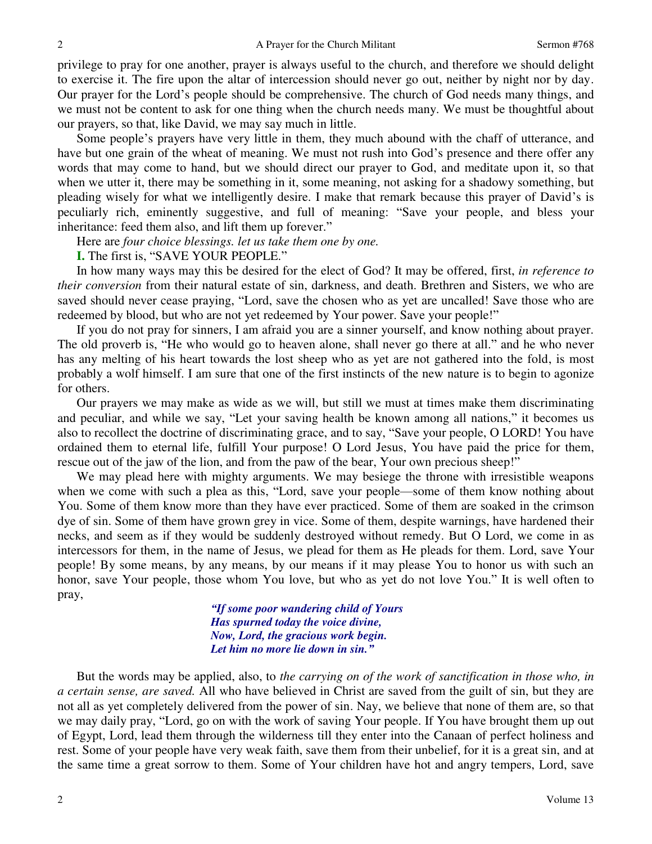privilege to pray for one another, prayer is always useful to the church, and therefore we should delight to exercise it. The fire upon the altar of intercession should never go out, neither by night nor by day. Our prayer for the Lord's people should be comprehensive. The church of God needs many things, and we must not be content to ask for one thing when the church needs many. We must be thoughtful about our prayers, so that, like David, we may say much in little.

 Some people's prayers have very little in them, they much abound with the chaff of utterance, and have but one grain of the wheat of meaning. We must not rush into God's presence and there offer any words that may come to hand, but we should direct our prayer to God, and meditate upon it, so that when we utter it, there may be something in it, some meaning, not asking for a shadowy something, but pleading wisely for what we intelligently desire. I make that remark because this prayer of David's is peculiarly rich, eminently suggestive, and full of meaning: "Save your people, and bless your inheritance: feed them also, and lift them up forever."

Here are *four choice blessings. let us take them one by one.*

**I.** The first is, "SAVE YOUR PEOPLE."

 In how many ways may this be desired for the elect of God? It may be offered, first, *in reference to their conversion* from their natural estate of sin, darkness, and death. Brethren and Sisters, we who are saved should never cease praying, "Lord, save the chosen who as yet are uncalled! Save those who are redeemed by blood, but who are not yet redeemed by Your power. Save your people!"

 If you do not pray for sinners, I am afraid you are a sinner yourself, and know nothing about prayer. The old proverb is, "He who would go to heaven alone, shall never go there at all." and he who never has any melting of his heart towards the lost sheep who as yet are not gathered into the fold, is most probably a wolf himself. I am sure that one of the first instincts of the new nature is to begin to agonize for others.

 Our prayers we may make as wide as we will, but still we must at times make them discriminating and peculiar, and while we say, "Let your saving health be known among all nations," it becomes us also to recollect the doctrine of discriminating grace, and to say, "Save your people, O LORD! You have ordained them to eternal life, fulfill Your purpose! O Lord Jesus, You have paid the price for them, rescue out of the jaw of the lion, and from the paw of the bear, Your own precious sheep!"

 We may plead here with mighty arguments. We may besiege the throne with irresistible weapons when we come with such a plea as this, "Lord, save your people—some of them know nothing about You. Some of them know more than they have ever practiced. Some of them are soaked in the crimson dye of sin. Some of them have grown grey in vice. Some of them, despite warnings, have hardened their necks, and seem as if they would be suddenly destroyed without remedy. But O Lord, we come in as intercessors for them, in the name of Jesus, we plead for them as He pleads for them. Lord, save Your people! By some means, by any means, by our means if it may please You to honor us with such an honor, save Your people, those whom You love, but who as yet do not love You." It is well often to pray,

> *"If some poor wandering child of Yours Has spurned today the voice divine, Now, Lord, the gracious work begin. Let him no more lie down in sin."*

 But the words may be applied, also, to *the carrying on of the work of sanctification in those who, in a certain sense, are saved.* All who have believed in Christ are saved from the guilt of sin, but they are not all as yet completely delivered from the power of sin. Nay, we believe that none of them are, so that we may daily pray, "Lord, go on with the work of saving Your people. If You have brought them up out of Egypt, Lord, lead them through the wilderness till they enter into the Canaan of perfect holiness and rest. Some of your people have very weak faith, save them from their unbelief, for it is a great sin, and at the same time a great sorrow to them. Some of Your children have hot and angry tempers, Lord, save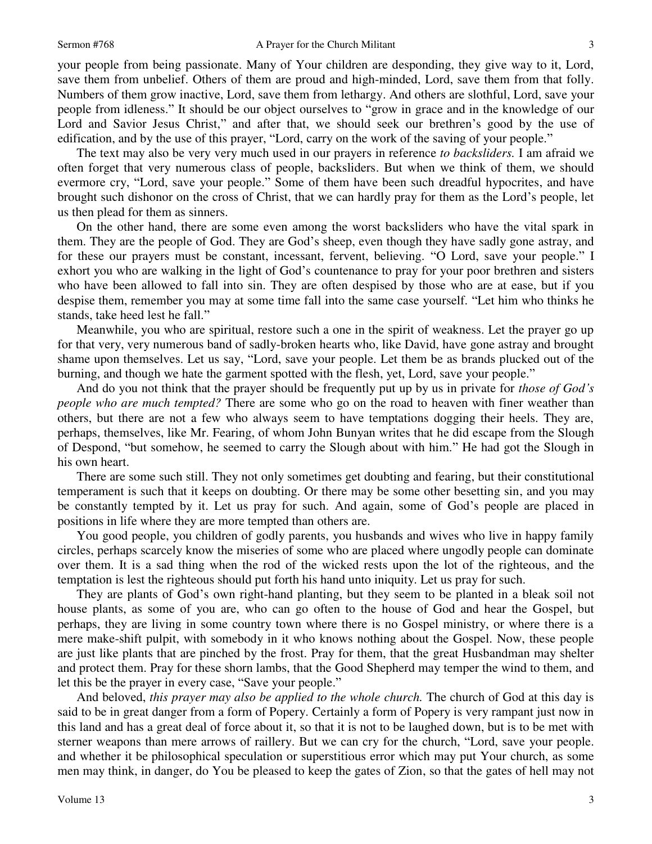your people from being passionate. Many of Your children are desponding, they give way to it, Lord, save them from unbelief. Others of them are proud and high-minded, Lord, save them from that folly. Numbers of them grow inactive, Lord, save them from lethargy. And others are slothful, Lord, save your people from idleness." It should be our object ourselves to "grow in grace and in the knowledge of our Lord and Savior Jesus Christ," and after that, we should seek our brethren's good by the use of edification, and by the use of this prayer, "Lord, carry on the work of the saving of your people."

 The text may also be very very much used in our prayers in reference *to backsliders.* I am afraid we often forget that very numerous class of people, backsliders. But when we think of them, we should evermore cry, "Lord, save your people." Some of them have been such dreadful hypocrites, and have brought such dishonor on the cross of Christ, that we can hardly pray for them as the Lord's people, let us then plead for them as sinners.

 On the other hand, there are some even among the worst backsliders who have the vital spark in them. They are the people of God. They are God's sheep, even though they have sadly gone astray, and for these our prayers must be constant, incessant, fervent, believing. "O Lord, save your people." I exhort you who are walking in the light of God's countenance to pray for your poor brethren and sisters who have been allowed to fall into sin. They are often despised by those who are at ease, but if you despise them, remember you may at some time fall into the same case yourself. "Let him who thinks he stands, take heed lest he fall."

 Meanwhile, you who are spiritual, restore such a one in the spirit of weakness. Let the prayer go up for that very, very numerous band of sadly-broken hearts who, like David, have gone astray and brought shame upon themselves. Let us say, "Lord, save your people. Let them be as brands plucked out of the burning, and though we hate the garment spotted with the flesh, yet, Lord, save your people."

 And do you not think that the prayer should be frequently put up by us in private for *those of God's people who are much tempted?* There are some who go on the road to heaven with finer weather than others, but there are not a few who always seem to have temptations dogging their heels. They are, perhaps, themselves, like Mr. Fearing, of whom John Bunyan writes that he did escape from the Slough of Despond, "but somehow, he seemed to carry the Slough about with him." He had got the Slough in his own heart.

 There are some such still. They not only sometimes get doubting and fearing, but their constitutional temperament is such that it keeps on doubting. Or there may be some other besetting sin, and you may be constantly tempted by it. Let us pray for such. And again, some of God's people are placed in positions in life where they are more tempted than others are.

You good people, you children of godly parents, you husbands and wives who live in happy family circles, perhaps scarcely know the miseries of some who are placed where ungodly people can dominate over them. It is a sad thing when the rod of the wicked rests upon the lot of the righteous, and the temptation is lest the righteous should put forth his hand unto iniquity. Let us pray for such.

 They are plants of God's own right-hand planting, but they seem to be planted in a bleak soil not house plants, as some of you are, who can go often to the house of God and hear the Gospel, but perhaps, they are living in some country town where there is no Gospel ministry, or where there is a mere make-shift pulpit, with somebody in it who knows nothing about the Gospel. Now, these people are just like plants that are pinched by the frost. Pray for them, that the great Husbandman may shelter and protect them. Pray for these shorn lambs, that the Good Shepherd may temper the wind to them, and let this be the prayer in every case, "Save your people."

 And beloved, *this prayer may also be applied to the whole church.* The church of God at this day is said to be in great danger from a form of Popery. Certainly a form of Popery is very rampant just now in this land and has a great deal of force about it, so that it is not to be laughed down, but is to be met with sterner weapons than mere arrows of raillery. But we can cry for the church, "Lord, save your people. and whether it be philosophical speculation or superstitious error which may put Your church, as some men may think, in danger, do You be pleased to keep the gates of Zion, so that the gates of hell may not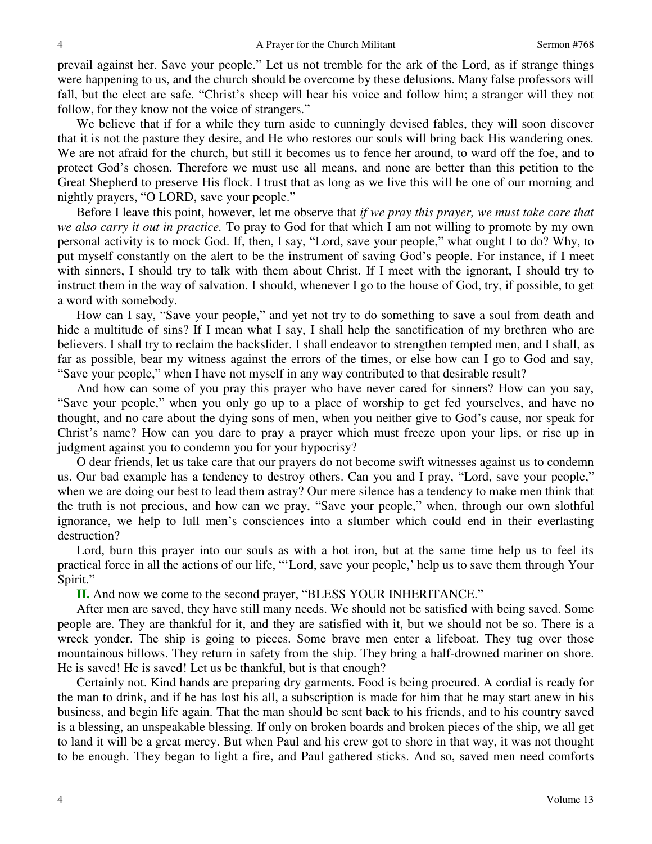prevail against her. Save your people." Let us not tremble for the ark of the Lord, as if strange things were happening to us, and the church should be overcome by these delusions. Many false professors will fall, but the elect are safe. "Christ's sheep will hear his voice and follow him; a stranger will they not follow, for they know not the voice of strangers."

 We believe that if for a while they turn aside to cunningly devised fables, they will soon discover that it is not the pasture they desire, and He who restores our souls will bring back His wandering ones. We are not afraid for the church, but still it becomes us to fence her around, to ward off the foe, and to protect God's chosen. Therefore we must use all means, and none are better than this petition to the Great Shepherd to preserve His flock. I trust that as long as we live this will be one of our morning and nightly prayers, "O LORD, save your people."

 Before I leave this point, however, let me observe that *if we pray this prayer, we must take care that we also carry it out in practice.* To pray to God for that which I am not willing to promote by my own personal activity is to mock God. If, then, I say, "Lord, save your people," what ought I to do? Why, to put myself constantly on the alert to be the instrument of saving God's people. For instance, if I meet with sinners, I should try to talk with them about Christ. If I meet with the ignorant, I should try to instruct them in the way of salvation. I should, whenever I go to the house of God, try, if possible, to get a word with somebody.

 How can I say, "Save your people," and yet not try to do something to save a soul from death and hide a multitude of sins? If I mean what I say, I shall help the sanctification of my brethren who are believers. I shall try to reclaim the backslider. I shall endeavor to strengthen tempted men, and I shall, as far as possible, bear my witness against the errors of the times, or else how can I go to God and say, "Save your people," when I have not myself in any way contributed to that desirable result?

 And how can some of you pray this prayer who have never cared for sinners? How can you say, "Save your people," when you only go up to a place of worship to get fed yourselves, and have no thought, and no care about the dying sons of men, when you neither give to God's cause, nor speak for Christ's name? How can you dare to pray a prayer which must freeze upon your lips, or rise up in judgment against you to condemn you for your hypocrisy?

 O dear friends, let us take care that our prayers do not become swift witnesses against us to condemn us. Our bad example has a tendency to destroy others. Can you and I pray, "Lord, save your people," when we are doing our best to lead them astray? Our mere silence has a tendency to make men think that the truth is not precious, and how can we pray, "Save your people," when, through our own slothful ignorance, we help to lull men's consciences into a slumber which could end in their everlasting destruction?

 Lord, burn this prayer into our souls as with a hot iron, but at the same time help us to feel its practical force in all the actions of our life, "'Lord, save your people,' help us to save them through Your Spirit."

**II.** And now we come to the second prayer, "BLESS YOUR INHERITANCE."

 After men are saved, they have still many needs. We should not be satisfied with being saved. Some people are. They are thankful for it, and they are satisfied with it, but we should not be so. There is a wreck yonder. The ship is going to pieces. Some brave men enter a lifeboat. They tug over those mountainous billows. They return in safety from the ship. They bring a half-drowned mariner on shore. He is saved! He is saved! Let us be thankful, but is that enough?

Certainly not. Kind hands are preparing dry garments. Food is being procured. A cordial is ready for the man to drink, and if he has lost his all, a subscription is made for him that he may start anew in his business, and begin life again. That the man should be sent back to his friends, and to his country saved is a blessing, an unspeakable blessing. If only on broken boards and broken pieces of the ship, we all get to land it will be a great mercy. But when Paul and his crew got to shore in that way, it was not thought to be enough. They began to light a fire, and Paul gathered sticks. And so, saved men need comforts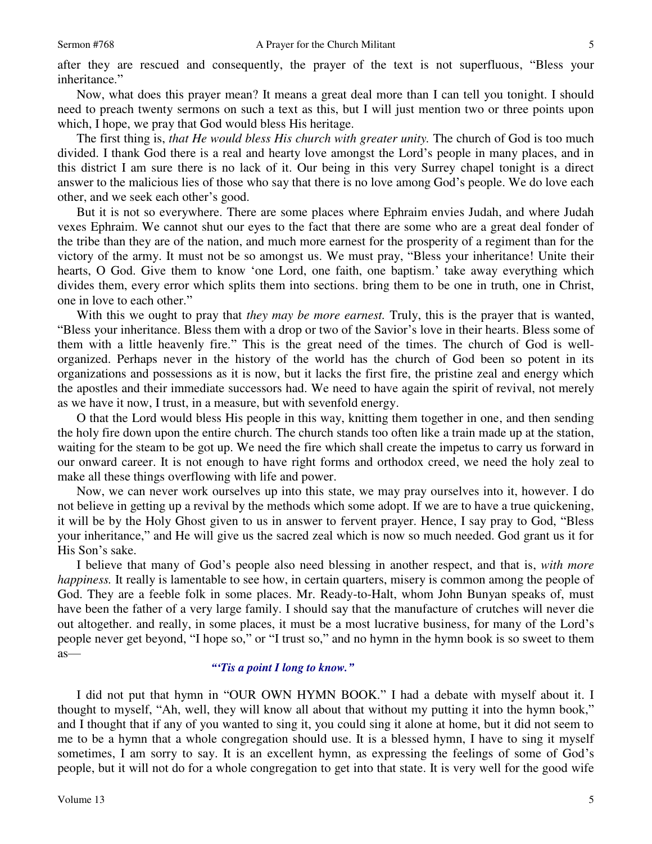Now, what does this prayer mean? It means a great deal more than I can tell you tonight. I should need to preach twenty sermons on such a text as this, but I will just mention two or three points upon which, I hope, we pray that God would bless His heritage.

 The first thing is, *that He would bless His church with greater unity.* The church of God is too much divided. I thank God there is a real and hearty love amongst the Lord's people in many places, and in this district I am sure there is no lack of it. Our being in this very Surrey chapel tonight is a direct answer to the malicious lies of those who say that there is no love among God's people. We do love each other, and we seek each other's good.

 But it is not so everywhere. There are some places where Ephraim envies Judah, and where Judah vexes Ephraim. We cannot shut our eyes to the fact that there are some who are a great deal fonder of the tribe than they are of the nation, and much more earnest for the prosperity of a regiment than for the victory of the army. It must not be so amongst us. We must pray, "Bless your inheritance! Unite their hearts, O God. Give them to know 'one Lord, one faith, one baptism.' take away everything which divides them, every error which splits them into sections. bring them to be one in truth, one in Christ, one in love to each other."

 With this we ought to pray that *they may be more earnest.* Truly, this is the prayer that is wanted, "Bless your inheritance. Bless them with a drop or two of the Savior's love in their hearts. Bless some of them with a little heavenly fire." This is the great need of the times. The church of God is wellorganized. Perhaps never in the history of the world has the church of God been so potent in its organizations and possessions as it is now, but it lacks the first fire, the pristine zeal and energy which the apostles and their immediate successors had. We need to have again the spirit of revival, not merely as we have it now, I trust, in a measure, but with sevenfold energy.

 O that the Lord would bless His people in this way, knitting them together in one, and then sending the holy fire down upon the entire church. The church stands too often like a train made up at the station, waiting for the steam to be got up. We need the fire which shall create the impetus to carry us forward in our onward career. It is not enough to have right forms and orthodox creed, we need the holy zeal to make all these things overflowing with life and power.

 Now, we can never work ourselves up into this state, we may pray ourselves into it, however. I do not believe in getting up a revival by the methods which some adopt. If we are to have a true quickening, it will be by the Holy Ghost given to us in answer to fervent prayer. Hence, I say pray to God, "Bless your inheritance," and He will give us the sacred zeal which is now so much needed. God grant us it for His Son's sake.

 I believe that many of God's people also need blessing in another respect, and that is, *with more happiness.* It really is lamentable to see how, in certain quarters, misery is common among the people of God. They are a feeble folk in some places. Mr. Ready-to-Halt, whom John Bunyan speaks of, must have been the father of a very large family. I should say that the manufacture of crutches will never die out altogether. and really, in some places, it must be a most lucrative business, for many of the Lord's people never get beyond, "I hope so," or "I trust so," and no hymn in the hymn book is so sweet to them as—

### *"'Tis a point I long to know."*

 I did not put that hymn in "OUR OWN HYMN BOOK." I had a debate with myself about it. I thought to myself, "Ah, well, they will know all about that without my putting it into the hymn book," and I thought that if any of you wanted to sing it, you could sing it alone at home, but it did not seem to me to be a hymn that a whole congregation should use. It is a blessed hymn, I have to sing it myself sometimes, I am sorry to say. It is an excellent hymn, as expressing the feelings of some of God's people, but it will not do for a whole congregation to get into that state. It is very well for the good wife

5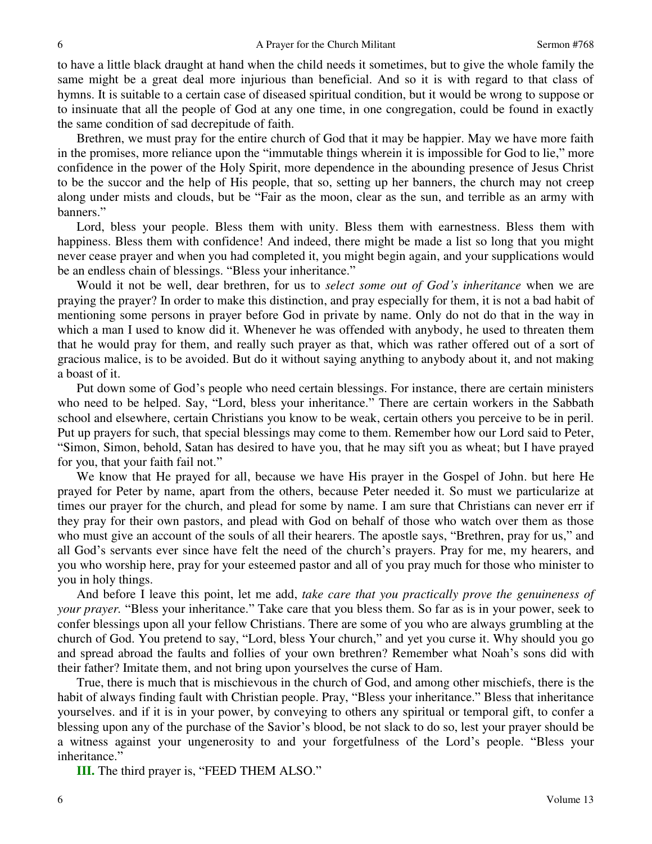to have a little black draught at hand when the child needs it sometimes, but to give the whole family the same might be a great deal more injurious than beneficial. And so it is with regard to that class of hymns. It is suitable to a certain case of diseased spiritual condition, but it would be wrong to suppose or to insinuate that all the people of God at any one time, in one congregation, could be found in exactly the same condition of sad decrepitude of faith.

 Brethren, we must pray for the entire church of God that it may be happier. May we have more faith in the promises, more reliance upon the "immutable things wherein it is impossible for God to lie," more confidence in the power of the Holy Spirit, more dependence in the abounding presence of Jesus Christ to be the succor and the help of His people, that so, setting up her banners, the church may not creep along under mists and clouds, but be "Fair as the moon, clear as the sun, and terrible as an army with banners."

 Lord, bless your people. Bless them with unity. Bless them with earnestness. Bless them with happiness. Bless them with confidence! And indeed, there might be made a list so long that you might never cease prayer and when you had completed it, you might begin again, and your supplications would be an endless chain of blessings. "Bless your inheritance."

 Would it not be well, dear brethren, for us to *select some out of God's inheritance* when we are praying the prayer? In order to make this distinction, and pray especially for them, it is not a bad habit of mentioning some persons in prayer before God in private by name. Only do not do that in the way in which a man I used to know did it. Whenever he was offended with anybody, he used to threaten them that he would pray for them, and really such prayer as that, which was rather offered out of a sort of gracious malice, is to be avoided. But do it without saying anything to anybody about it, and not making a boast of it.

 Put down some of God's people who need certain blessings. For instance, there are certain ministers who need to be helped. Say, "Lord, bless your inheritance." There are certain workers in the Sabbath school and elsewhere, certain Christians you know to be weak, certain others you perceive to be in peril. Put up prayers for such, that special blessings may come to them. Remember how our Lord said to Peter, "Simon, Simon, behold, Satan has desired to have you, that he may sift you as wheat; but I have prayed for you, that your faith fail not."

 We know that He prayed for all, because we have His prayer in the Gospel of John. but here He prayed for Peter by name, apart from the others, because Peter needed it. So must we particularize at times our prayer for the church, and plead for some by name. I am sure that Christians can never err if they pray for their own pastors, and plead with God on behalf of those who watch over them as those who must give an account of the souls of all their hearers. The apostle says, "Brethren, pray for us," and all God's servants ever since have felt the need of the church's prayers. Pray for me, my hearers, and you who worship here, pray for your esteemed pastor and all of you pray much for those who minister to you in holy things.

 And before I leave this point, let me add, *take care that you practically prove the genuineness of your prayer.* "Bless your inheritance." Take care that you bless them. So far as is in your power, seek to confer blessings upon all your fellow Christians. There are some of you who are always grumbling at the church of God. You pretend to say, "Lord, bless Your church," and yet you curse it. Why should you go and spread abroad the faults and follies of your own brethren? Remember what Noah's sons did with their father? Imitate them, and not bring upon yourselves the curse of Ham.

 True, there is much that is mischievous in the church of God, and among other mischiefs, there is the habit of always finding fault with Christian people. Pray, "Bless your inheritance." Bless that inheritance yourselves. and if it is in your power, by conveying to others any spiritual or temporal gift, to confer a blessing upon any of the purchase of the Savior's blood, be not slack to do so, lest your prayer should be a witness against your ungenerosity to and your forgetfulness of the Lord's people. "Bless your inheritance."

**III.** The third prayer is, "FEED THEM ALSO."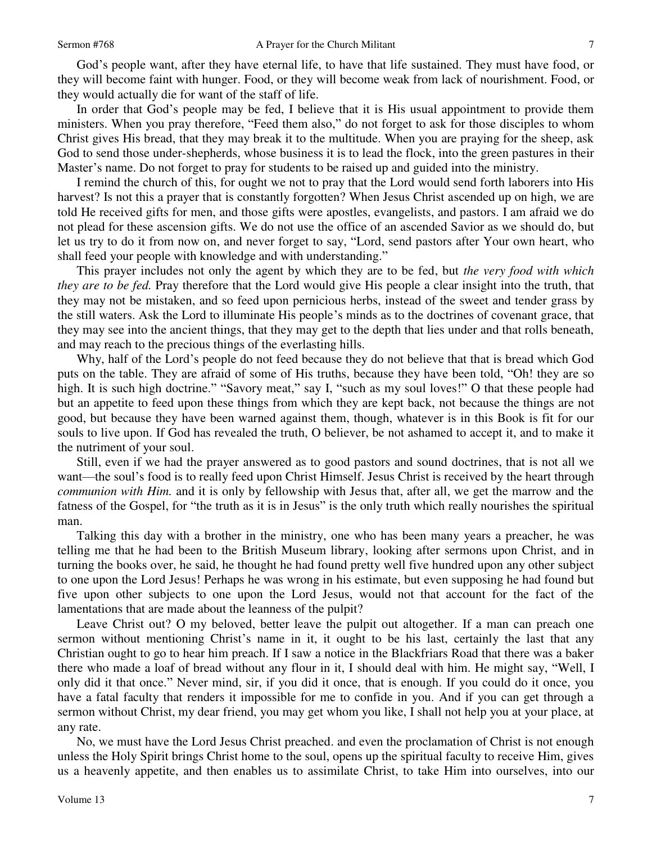God's people want, after they have eternal life, to have that life sustained. They must have food, or they will become faint with hunger. Food, or they will become weak from lack of nourishment. Food, or they would actually die for want of the staff of life.

 In order that God's people may be fed, I believe that it is His usual appointment to provide them ministers. When you pray therefore, "Feed them also," do not forget to ask for those disciples to whom Christ gives His bread, that they may break it to the multitude. When you are praying for the sheep, ask God to send those under-shepherds, whose business it is to lead the flock, into the green pastures in their Master's name. Do not forget to pray for students to be raised up and guided into the ministry.

 I remind the church of this, for ought we not to pray that the Lord would send forth laborers into His harvest? Is not this a prayer that is constantly forgotten? When Jesus Christ ascended up on high, we are told He received gifts for men, and those gifts were apostles, evangelists, and pastors. I am afraid we do not plead for these ascension gifts. We do not use the office of an ascended Savior as we should do, but let us try to do it from now on, and never forget to say, "Lord, send pastors after Your own heart, who shall feed your people with knowledge and with understanding."

 This prayer includes not only the agent by which they are to be fed, but *the very food with which they are to be fed.* Pray therefore that the Lord would give His people a clear insight into the truth, that they may not be mistaken, and so feed upon pernicious herbs, instead of the sweet and tender grass by the still waters. Ask the Lord to illuminate His people's minds as to the doctrines of covenant grace, that they may see into the ancient things, that they may get to the depth that lies under and that rolls beneath, and may reach to the precious things of the everlasting hills.

 Why, half of the Lord's people do not feed because they do not believe that that is bread which God puts on the table. They are afraid of some of His truths, because they have been told, "Oh! they are so high. It is such high doctrine." "Savory meat," say I, "such as my soul loves!" O that these people had but an appetite to feed upon these things from which they are kept back, not because the things are not good, but because they have been warned against them, though, whatever is in this Book is fit for our souls to live upon. If God has revealed the truth, O believer, be not ashamed to accept it, and to make it the nutriment of your soul.

 Still, even if we had the prayer answered as to good pastors and sound doctrines, that is not all we want—the soul's food is to really feed upon Christ Himself. Jesus Christ is received by the heart through *communion with Him.* and it is only by fellowship with Jesus that, after all, we get the marrow and the fatness of the Gospel, for "the truth as it is in Jesus" is the only truth which really nourishes the spiritual man.

 Talking this day with a brother in the ministry, one who has been many years a preacher, he was telling me that he had been to the British Museum library, looking after sermons upon Christ, and in turning the books over, he said, he thought he had found pretty well five hundred upon any other subject to one upon the Lord Jesus! Perhaps he was wrong in his estimate, but even supposing he had found but five upon other subjects to one upon the Lord Jesus, would not that account for the fact of the lamentations that are made about the leanness of the pulpit?

 Leave Christ out? O my beloved, better leave the pulpit out altogether. If a man can preach one sermon without mentioning Christ's name in it, it ought to be his last, certainly the last that any Christian ought to go to hear him preach. If I saw a notice in the Blackfriars Road that there was a baker there who made a loaf of bread without any flour in it, I should deal with him. He might say, "Well, I only did it that once." Never mind, sir, if you did it once, that is enough. If you could do it once, you have a fatal faculty that renders it impossible for me to confide in you. And if you can get through a sermon without Christ, my dear friend, you may get whom you like, I shall not help you at your place, at any rate.

 No, we must have the Lord Jesus Christ preached. and even the proclamation of Christ is not enough unless the Holy Spirit brings Christ home to the soul, opens up the spiritual faculty to receive Him, gives us a heavenly appetite, and then enables us to assimilate Christ, to take Him into ourselves, into our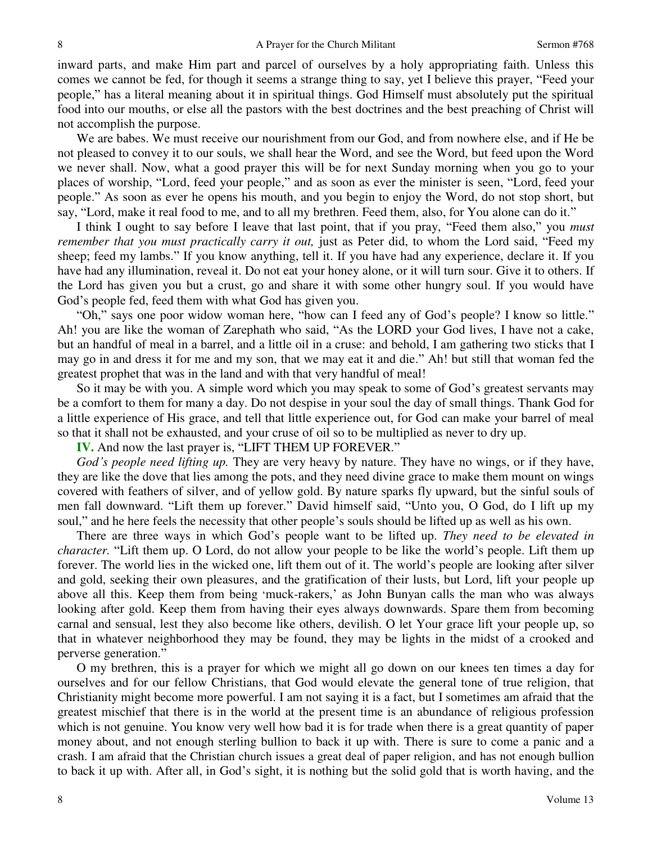inward parts, and make Him part and parcel of ourselves by a holy appropriating faith. Unless this comes we cannot be fed, for though it seems a strange thing to say, yet I believe this prayer, "Feed your people," has a literal meaning about it in spiritual things. God Himself must absolutely put the spiritual food into our mouths, or else all the pastors with the best doctrines and the best preaching of Christ will not accomplish the purpose.

 We are babes. We must receive our nourishment from our God, and from nowhere else, and if He be not pleased to convey it to our souls, we shall hear the Word, and see the Word, but feed upon the Word we never shall. Now, what a good prayer this will be for next Sunday morning when you go to your places of worship, "Lord, feed your people," and as soon as ever the minister is seen, "Lord, feed your people." As soon as ever he opens his mouth, and you begin to enjoy the Word, do not stop short, but say, "Lord, make it real food to me, and to all my brethren. Feed them, also, for You alone can do it."

 I think I ought to say before I leave that last point, that if you pray, "Feed them also," you *must remember that you must practically carry it out,* just as Peter did, to whom the Lord said, "Feed my sheep; feed my lambs." If you know anything, tell it. If you have had any experience, declare it. If you have had any illumination, reveal it. Do not eat your honey alone, or it will turn sour. Give it to others. If the Lord has given you but a crust, go and share it with some other hungry soul. If you would have God's people fed, feed them with what God has given you.

"Oh," says one poor widow woman here, "how can I feed any of God's people? I know so little." Ah! you are like the woman of Zarephath who said, "As the LORD your God lives, I have not a cake, but an handful of meal in a barrel, and a little oil in a cruse: and behold, I am gathering two sticks that I may go in and dress it for me and my son, that we may eat it and die." Ah! but still that woman fed the greatest prophet that was in the land and with that very handful of meal!

 So it may be with you. A simple word which you may speak to some of God's greatest servants may be a comfort to them for many a day. Do not despise in your soul the day of small things. Thank God for a little experience of His grace, and tell that little experience out, for God can make your barrel of meal so that it shall not be exhausted, and your cruse of oil so to be multiplied as never to dry up.

**IV.** And now the last prayer is, "LIFT THEM UP FOREVER."

*God's people need lifting up.* They are very heavy by nature. They have no wings, or if they have, they are like the dove that lies among the pots, and they need divine grace to make them mount on wings covered with feathers of silver, and of yellow gold. By nature sparks fly upward, but the sinful souls of men fall downward. "Lift them up forever." David himself said, "Unto you, O God, do I lift up my soul," and he here feels the necessity that other people's souls should be lifted up as well as his own.

 There are three ways in which God's people want to be lifted up. *They need to be elevated in character.* "Lift them up. O Lord, do not allow your people to be like the world's people. Lift them up forever. The world lies in the wicked one, lift them out of it. The world's people are looking after silver and gold, seeking their own pleasures, and the gratification of their lusts, but Lord, lift your people up above all this. Keep them from being 'muck-rakers,' as John Bunyan calls the man who was always looking after gold. Keep them from having their eyes always downwards. Spare them from becoming carnal and sensual, lest they also become like others, devilish. O let Your grace lift your people up, so that in whatever neighborhood they may be found, they may be lights in the midst of a crooked and perverse generation."

 O my brethren, this is a prayer for which we might all go down on our knees ten times a day for ourselves and for our fellow Christians, that God would elevate the general tone of true religion, that Christianity might become more powerful. I am not saying it is a fact, but I sometimes am afraid that the greatest mischief that there is in the world at the present time is an abundance of religious profession which is not genuine. You know very well how bad it is for trade when there is a great quantity of paper money about, and not enough sterling bullion to back it up with. There is sure to come a panic and a crash. I am afraid that the Christian church issues a great deal of paper religion, and has not enough bullion to back it up with. After all, in God's sight, it is nothing but the solid gold that is worth having, and the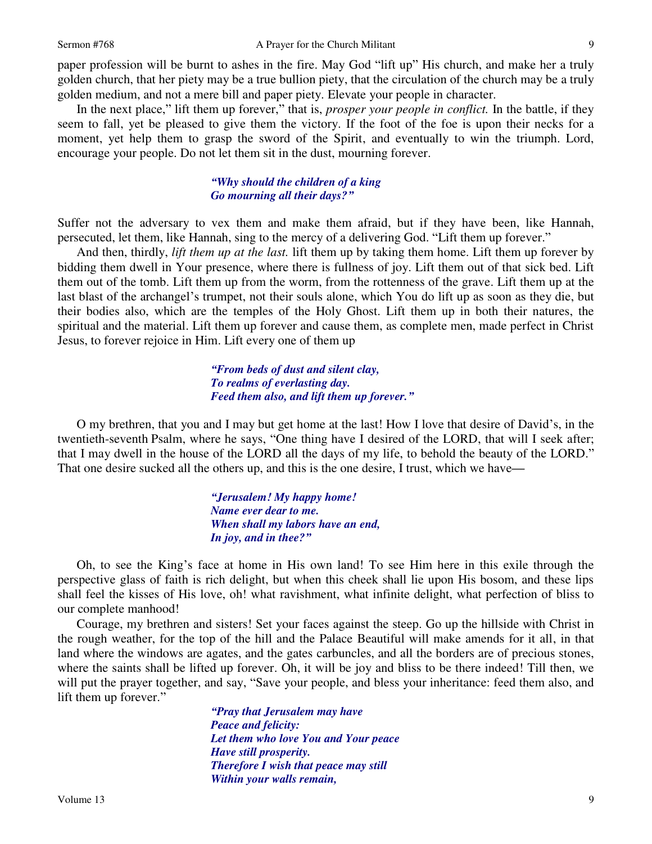paper profession will be burnt to ashes in the fire. May God "lift up" His church, and make her a truly golden church, that her piety may be a true bullion piety, that the circulation of the church may be a truly golden medium, and not a mere bill and paper piety. Elevate your people in character.

 In the next place," lift them up forever," that is, *prosper your people in conflict.* In the battle, if they seem to fall, yet be pleased to give them the victory. If the foot of the foe is upon their necks for a moment, yet help them to grasp the sword of the Spirit, and eventually to win the triumph. Lord, encourage your people. Do not let them sit in the dust, mourning forever.

### *"Why should the children of a king Go mourning all their days?"*

Suffer not the adversary to vex them and make them afraid, but if they have been, like Hannah, persecuted, let them, like Hannah, sing to the mercy of a delivering God. "Lift them up forever."

 And then, thirdly, *lift them up at the last.* lift them up by taking them home. Lift them up forever by bidding them dwell in Your presence, where there is fullness of joy. Lift them out of that sick bed. Lift them out of the tomb. Lift them up from the worm, from the rottenness of the grave. Lift them up at the last blast of the archangel's trumpet, not their souls alone, which You do lift up as soon as they die, but their bodies also, which are the temples of the Holy Ghost. Lift them up in both their natures, the spiritual and the material. Lift them up forever and cause them, as complete men, made perfect in Christ Jesus, to forever rejoice in Him. Lift every one of them up

> *"From beds of dust and silent clay, To realms of everlasting day. Feed them also, and lift them up forever."*

 O my brethren, that you and I may but get home at the last! How I love that desire of David's, in the twentieth-seventh Psalm, where he says, "One thing have I desired of the LORD, that will I seek after; that I may dwell in the house of the LORD all the days of my life, to behold the beauty of the LORD." That one desire sucked all the others up, and this is the one desire, I trust, which we have*—*

> *"Jerusalem! My happy home! Name ever dear to me. When shall my labors have an end, In joy, and in thee?"*

 Oh, to see the King's face at home in His own land! To see Him here in this exile through the perspective glass of faith is rich delight, but when this cheek shall lie upon His bosom, and these lips shall feel the kisses of His love, oh! what ravishment, what infinite delight, what perfection of bliss to our complete manhood!

 Courage, my brethren and sisters! Set your faces against the steep. Go up the hillside with Christ in the rough weather, for the top of the hill and the Palace Beautiful will make amends for it all, in that land where the windows are agates, and the gates carbuncles, and all the borders are of precious stones, where the saints shall be lifted up forever. Oh, it will be joy and bliss to be there indeed! Till then, we will put the prayer together, and say, "Save your people, and bless your inheritance: feed them also, and lift them up forever."

> *"Pray that Jerusalem may have Peace and felicity: Let them who love You and Your peace Have still prosperity. Therefore I wish that peace may still Within your walls remain,*